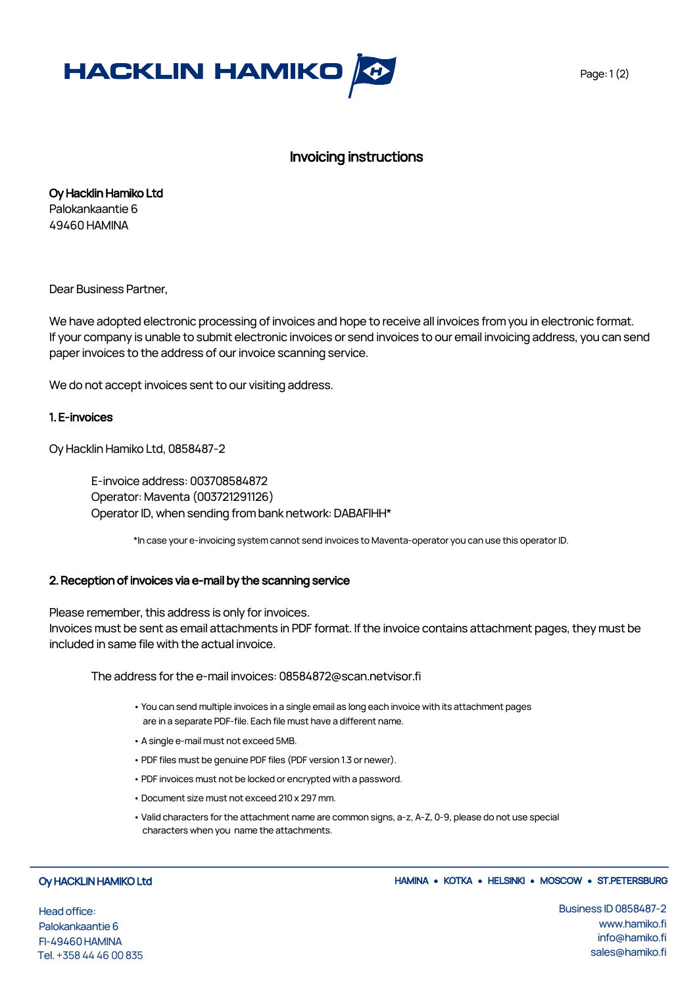

## Invoicing instructions

Oy Hacklin Hamiko Ltd Palokankaantie 6 49460 HAMINA

Dear Business Partner,

We have adopted electronic processing of invoices and hope to receive all invoices from you in electronic format. If your company is unable to submit electronic invoices or send invoices to our email invoicing address, you can send paper invoices to the address of our invoice scanning service.

We do not accept invoices sent to our visiting address.

## 1. E-invoices

Oy Hacklin Hamiko Ltd, 0858487-2

E-invoice address: 003708584872 Operator: Maventa (003721291126) Operator ID, when sending from bank network: DABAFIHH\*

\*In case your e-invoicing system cannot send invoices to Maventa-operator you can use this operator ID.

#### 2. Reception of invoices via e-mail by the scanning service

Please remember, this address is only for invoices. Invoices must be sent as email attachments in PDF format. If the invoice contains attachment pages, they must be included in same file with the actual invoice.

The address for the e-mail invoices: 08584872@scan.netvisor.fi

- You can send multiple invoices in a single email as long each invoice with its attachment pages are in a separate PDF-file. Each file must have a different name.
- A single e-mail must not exceed 5MB.
- PDF files must be genuine PDF files (PDF version 1.3 or newer).
- PDF invoices must not be locked or encrypted with a password.
- Document size must not exceed 210 x 297 mm.
- Valid characters for the attachment name are common signs, a-z, A-Z, 0-9, please do not use special characters when you name the attachments.

#### Oy HACKLIN HAMIKO Ltd

Head office: Palokankaantie 6 FI-49460 HAMINA Tel. +358 44 46 00835

### HAMINA • KOTKA • HELSINKI • MOSCOW • ST.PETERSBURG

Business ID 0858487-2 www.hamiko.fi info@hamiko.fi sales@hamiko.fi